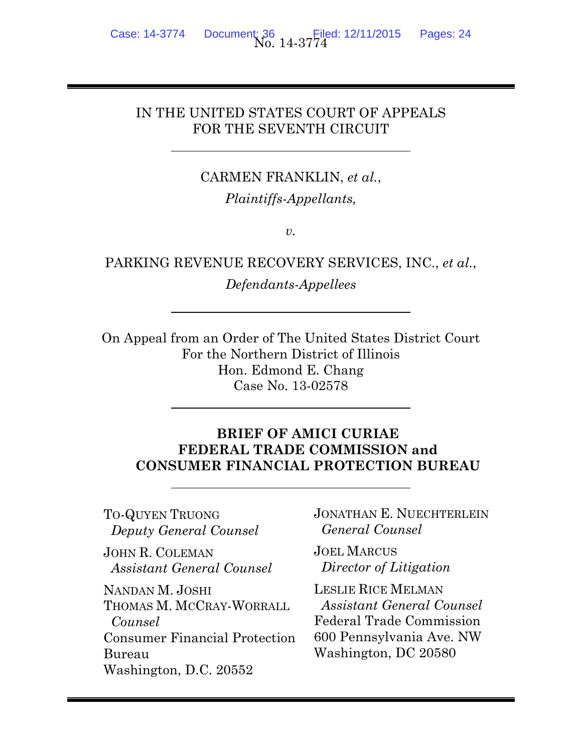## IN THE UNITED STATES COURT OF APPEALS FOR THE SEVENTH CIRCUIT

CARMEN FRANKLIN, *et al.*, *Plaintiffs-Appellants,* 

 $v_{\rm}$ .

PARKING REVENUE RECOVERY SERVICES, INC., *et al.*, *Defendants*-*Appellees* 

On Appeal from an Order of The United States District Court For the Northern District of Illinois Hon. Edmond E. Chang Case No. 13-02578

### **BRIEF OF AMICI CURIAE FEDERAL TRADE COMMISSION and CONSUMER FINANCIAL PROTECTION BUREAU**

TO-QUYEN TRUONG  *Deputy General Counsel*  JOHN R. COLEMAN  *Assistant General Counsel*  NANDAN M. JOSHI THOMAS M. MCCRAY-WORRALL  *Counsel*  Consumer Financial Protection Bureau Washington, D.C. 20552

 $\overline{a}$ 

 $\overline{a}$ 

 $\overline{a}$ 

JONATHAN E. NUECHTERLEIN  *General Counsel* 

JOEL MARCUS  *Director of Litigation* 

LESLIE RICE MELMAN  *Assistant General Counsel*  Federal Trade Commission 600 Pennsylvania Ave. NW Washington, DC 20580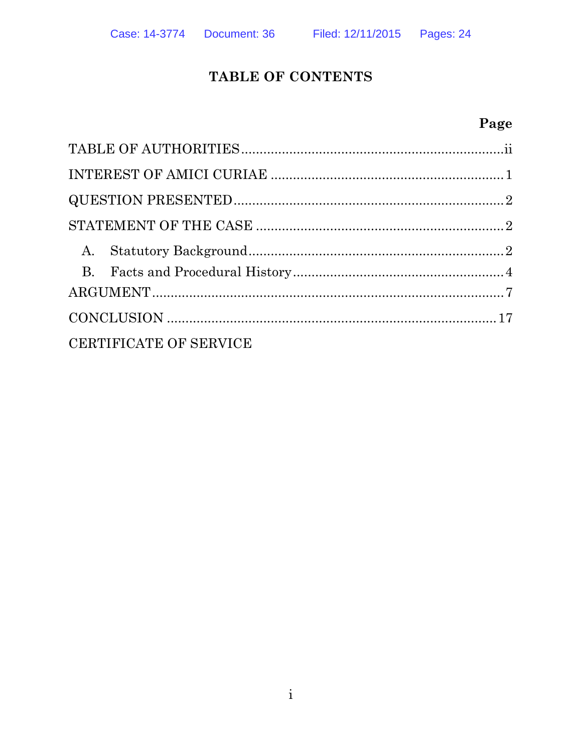## TABLE OF CONTENTS

## Page

| A.                     |  |
|------------------------|--|
|                        |  |
|                        |  |
|                        |  |
| CERTIFICATE OF SERVICE |  |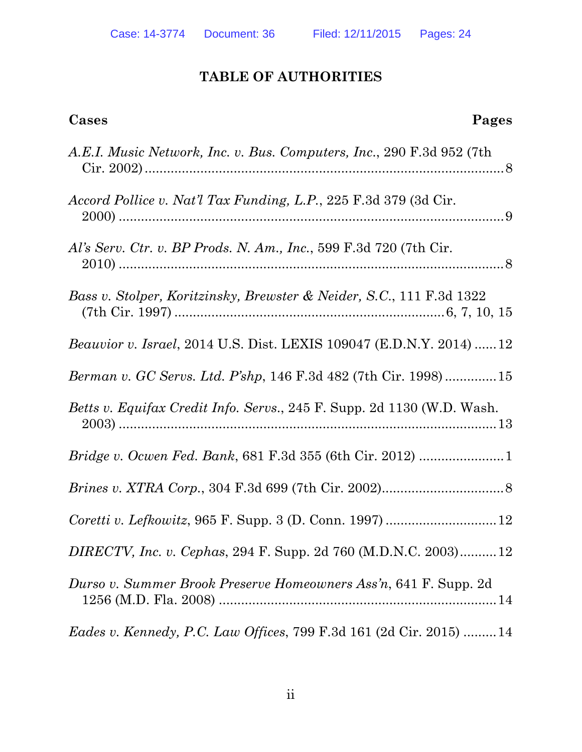## **TABLE OF AUTHORITIES**

**Cases Pages**

| A.E.I. Music Network, Inc. v. Bus. Computers, Inc., 290 F.3d 952 (7th         |
|-------------------------------------------------------------------------------|
| Accord Pollice v. Nat'l Tax Funding, L.P., 225 F.3d 379 (3d Cir.              |
| Al's Serv. Ctr. v. BP Prods. N. Am., Inc., 599 F.3d 720 (7th Cir.             |
| Bass v. Stolper, Koritzinsky, Brewster & Neider, S.C., 111 F.3d 1322          |
| Beauvior v. Israel, 2014 U.S. Dist. LEXIS 109047 (E.D.N.Y. 2014)  12          |
| Berman v. GC Servs. Ltd. P'shp, 146 F.3d 482 (7th Cir. 1998)15                |
| <i>Betts v. Equifax Credit Info. Servs., 245 F. Supp. 2d 1130 (W.D. Wash.</i> |
|                                                                               |
|                                                                               |
| Coretti v. Lefkowitz, 965 F. Supp. 3 (D. Conn. 1997)  12                      |
| DIRECTV, Inc. v. Cephas, 294 F. Supp. 2d 760 (M.D.N.C. 2003)12                |
| Durso v. Summer Brook Preserve Homeowners Ass'n, 641 F. Supp. 2d              |
| <i>Eades v. Kennedy, P.C. Law Offices, 799 F.3d 161 (2d Cir. 2015) 14</i>     |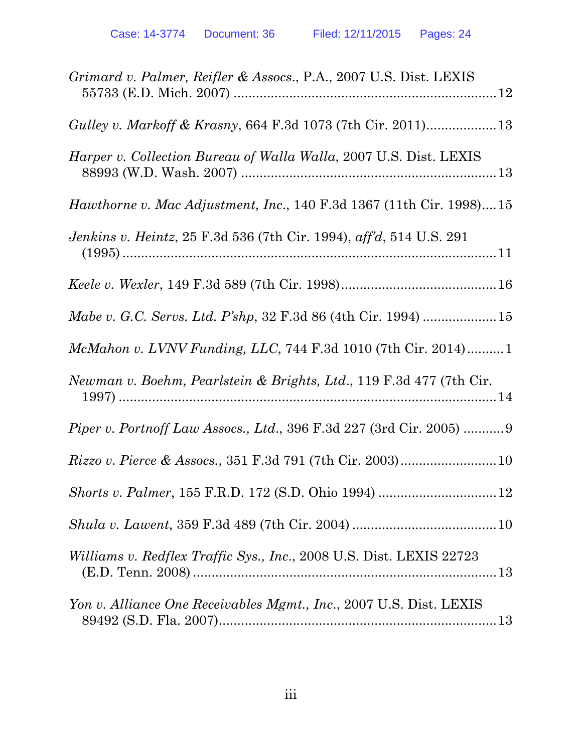| Grimard v. Palmer, Reifler & Assocs., P.A., 2007 U.S. Dist. LEXIS           |
|-----------------------------------------------------------------------------|
|                                                                             |
| <i>Harper v. Collection Bureau of Walla Walla, 2007 U.S. Dist. LEXIS</i>    |
| <i>Hawthorne v. Mac Adjustment, Inc.,</i> 140 F.3d 1367 (11th Cir. 1998)15  |
| <i>Jenkins v. Heintz</i> , 25 F.3d 536 (7th Cir. 1994), aff'd, 514 U.S. 291 |
|                                                                             |
|                                                                             |
| McMahon v. LVNV Funding, LLC, 744 F.3d 1010 (7th Cir. 2014)1                |
| Newman v. Boehm, Pearlstein & Brights, Ltd., 119 F.3d 477 (7th Cir.         |
| <i>Piper v. Portnoff Law Assocs., Ltd., 396 F.3d 227 (3rd Cir. 2005)  9</i> |
|                                                                             |
|                                                                             |
|                                                                             |
| <i>Williams v. Redflex Traffic Sys., Inc., 2008 U.S. Dist. LEXIS 22723</i>  |
| Yon v. Alliance One Receivables Mgmt., Inc., 2007 U.S. Dist. LEXIS          |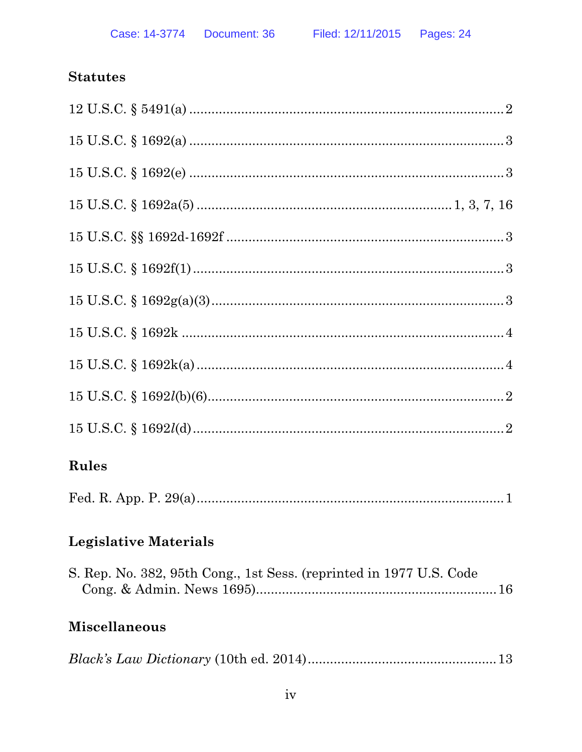## **Statutes**

| Rules                                                               |
|---------------------------------------------------------------------|
|                                                                     |
| <b>Legislative Materials</b>                                        |
| S. Rep. No. 382, 95th Cong., 1st Sess. (reprinted in 1977 U.S. Code |

# **Miscellaneous**

|--|--|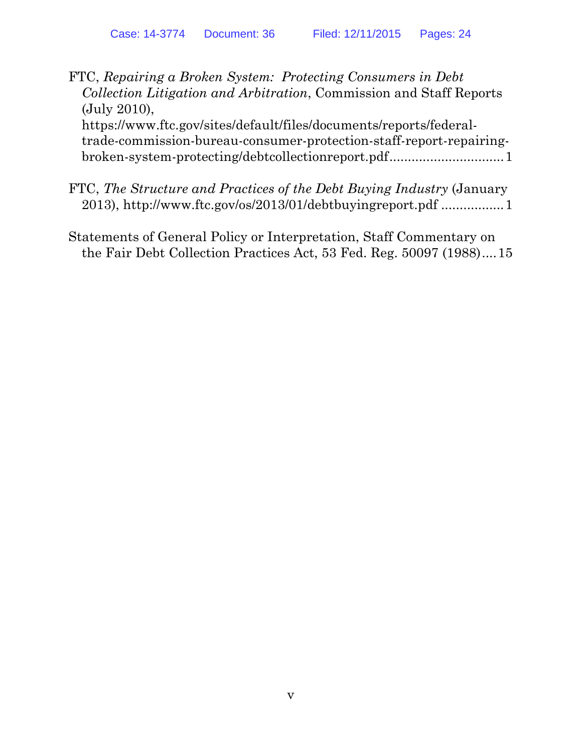FTC, *Repairing a Broken System: Protecting Consumers in Debt Collection Litigation and Arbitration*, Commission and Staff Reports (July 2010),

https://www.ftc.gov/sites/default/files/documents/reports/federaltrade-commission-bureau-consumer-protection-staff-report-repairingbroken-system-protecting/debtcollectionreport.pdf................................1

- FTC, *The Structure and Practices of the Debt Buying Industry* (January 2013), http://www.ftc.gov/os/2013/01/debtbuyingreport.pdf ................. 1
- Statements of General Policy or Interpretation, Staff Commentary on the Fair Debt Collection Practices Act, 53 Fed. Reg. 50097 (1988) .... 15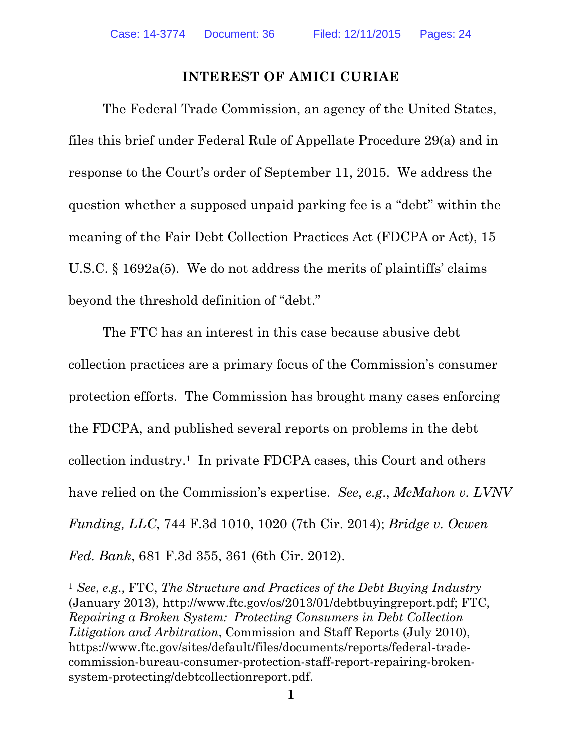### **INTEREST OF AMICI CURIAE**

The Federal Trade Commission, an agency of the United States, files this brief under Federal Rule of Appellate Procedure 29(a) and in response to the Court's order of September 11, 2015. We address the question whether a supposed unpaid parking fee is a "debt" within the meaning of the Fair Debt Collection Practices Act (FDCPA or Act), 15 U.S.C. § 1692a(5). We do not address the merits of plaintiffs' claims beyond the threshold definition of "debt."

The FTC has an interest in this case because abusive debt collection practices are a primary focus of the Commission's consumer protection efforts. The Commission has brought many cases enforcing the FDCPA, and published several reports on problems in the debt collection industry.1 In private FDCPA cases, this Court and others have relied on the Commission's expertise. *See*, *e.g*., *McMahon v. LVNV Funding, LLC*, 744 F.3d 1010, 1020 (7th Cir. 2014); *Bridge v. Ocwen Fed. Bank*, 681 F.3d 355, 361 (6th Cir. 2012).

<sup>1</sup> *See*, *e.g*., FTC, *The Structure and Practices of the Debt Buying Industry* (January 2013), http://www.ftc.gov/os/2013/01/debtbuyingreport.pdf; FTC, *Repairing a Broken System: Protecting Consumers in Debt Collection Litigation and Arbitration*, Commission and Staff Reports (July 2010), https://www.ftc.gov/sites/default/files/documents/reports/federal-tradecommission-bureau-consumer-protection-staff-report-repairing-brokensystem-protecting/debtcollectionreport.pdf.

 $\overline{a}$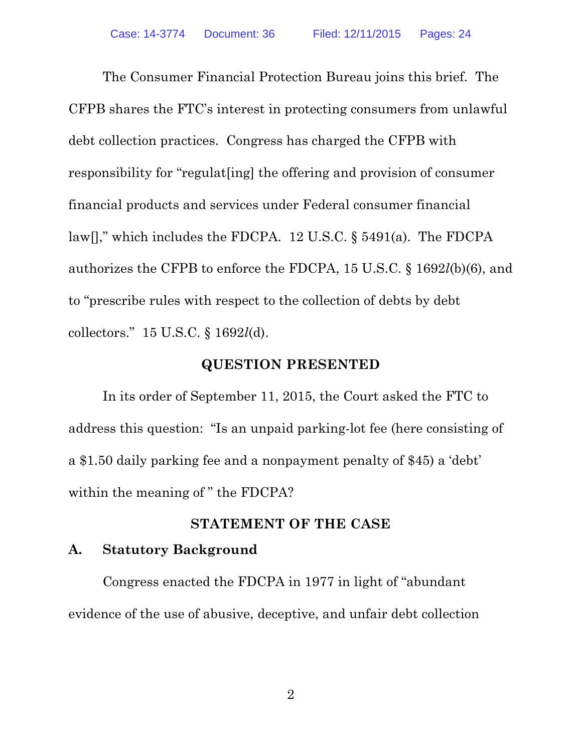The Consumer Financial Protection Bureau joins this brief. The CFPB shares the FTC's interest in protecting consumers from unlawful debt collection practices. Congress has charged the CFPB with responsibility for "regulat[ing] the offering and provision of consumer financial products and services under Federal consumer financial law[]," which includes the FDCPA. 12 U.S.C. § 5491(a). The FDCPA authorizes the CFPB to enforce the FDCPA, 15 U.S.C. § 1692*l*(b)(6), and to "prescribe rules with respect to the collection of debts by debt collectors." 15 U.S.C. § 1692*l*(d).

#### **QUESTION PRESENTED**

In its order of September 11, 2015, the Court asked the FTC to address this question: "Is an unpaid parking-lot fee (here consisting of a \$1.50 daily parking fee and a nonpayment penalty of \$45) a 'debt' within the meaning of " the FDCPA?

#### **STATEMENT OF THE CASE**

### **A. Statutory Background**

Congress enacted the FDCPA in 1977 in light of "abundant evidence of the use of abusive, deceptive, and unfair debt collection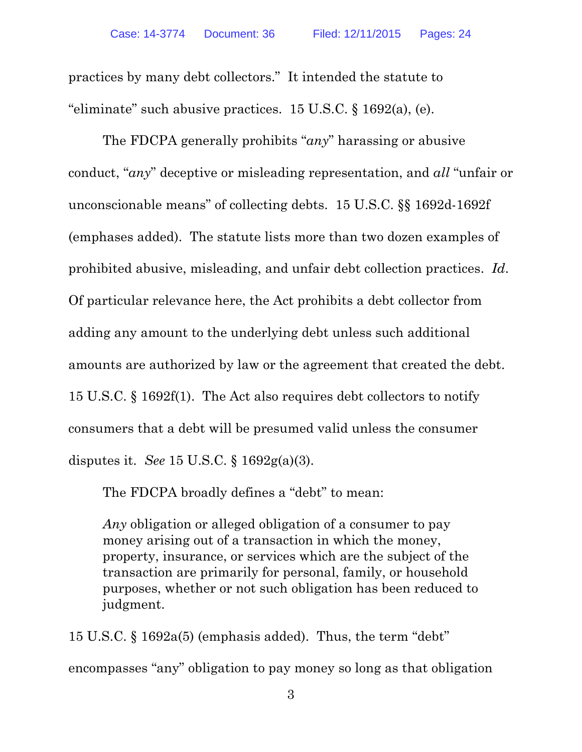practices by many debt collectors." It intended the statute to "eliminate" such abusive practices.  $15 \text{ U.S.C.}$  §  $1692(a)$ , (e).

The FDCPA generally prohibits "*any*" harassing or abusive conduct, "*any*" deceptive or misleading representation, and *all* "unfair or unconscionable means" of collecting debts. 15 U.S.C. §§ 1692d-1692f (emphases added). The statute lists more than two dozen examples of prohibited abusive, misleading, and unfair debt collection practices. *Id*. Of particular relevance here, the Act prohibits a debt collector from adding any amount to the underlying debt unless such additional amounts are authorized by law or the agreement that created the debt. 15 U.S.C. § 1692f(1). The Act also requires debt collectors to notify consumers that a debt will be presumed valid unless the consumer disputes it. *See* 15 U.S.C. § 1692g(a)(3).

The FDCPA broadly defines a "debt" to mean:

*Any* obligation or alleged obligation of a consumer to pay money arising out of a transaction in which the money, property, insurance, or services which are the subject of the transaction are primarily for personal, family, or household purposes, whether or not such obligation has been reduced to judgment.

15 U.S.C. § 1692a(5) (emphasis added). Thus, the term "debt" encompasses "any" obligation to pay money so long as that obligation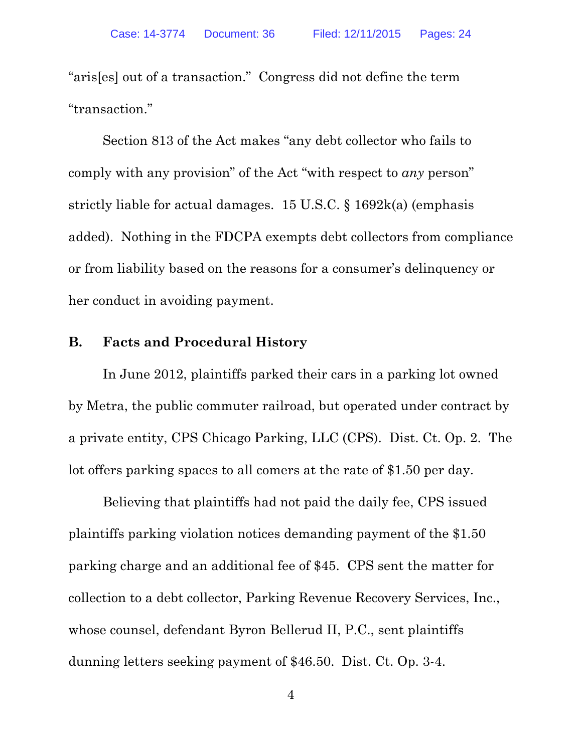"aris[es] out of a transaction." Congress did not define the term "transaction."

Section 813 of the Act makes "any debt collector who fails to comply with any provision" of the Act "with respect to *any* person" strictly liable for actual damages. 15 U.S.C. § 1692k(a) (emphasis added). Nothing in the FDCPA exempts debt collectors from compliance or from liability based on the reasons for a consumer's delinquency or her conduct in avoiding payment.

#### **B. Facts and Procedural History**

In June 2012, plaintiffs parked their cars in a parking lot owned by Metra, the public commuter railroad, but operated under contract by a private entity, CPS Chicago Parking, LLC (CPS). Dist. Ct. Op. 2. The lot offers parking spaces to all comers at the rate of \$1.50 per day.

Believing that plaintiffs had not paid the daily fee, CPS issued plaintiffs parking violation notices demanding payment of the \$1.50 parking charge and an additional fee of \$45. CPS sent the matter for collection to a debt collector, Parking Revenue Recovery Services, Inc., whose counsel, defendant Byron Bellerud II, P.C., sent plaintiffs dunning letters seeking payment of \$46.50. Dist. Ct. Op. 3-4.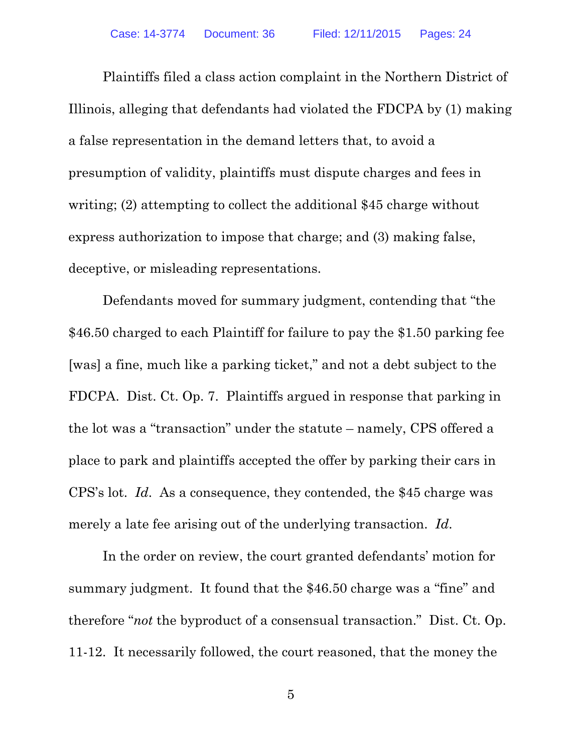Plaintiffs filed a class action complaint in the Northern District of Illinois, alleging that defendants had violated the FDCPA by (1) making a false representation in the demand letters that, to avoid a presumption of validity, plaintiffs must dispute charges and fees in writing; (2) attempting to collect the additional \$45 charge without express authorization to impose that charge; and (3) making false, deceptive, or misleading representations.

Defendants moved for summary judgment, contending that "the \$46.50 charged to each Plaintiff for failure to pay the \$1.50 parking fee [was] a fine, much like a parking ticket," and not a debt subject to the FDCPA. Dist. Ct. Op. 7. Plaintiffs argued in response that parking in the lot was a "transaction" under the statute – namely, CPS offered a place to park and plaintiffs accepted the offer by parking their cars in CPS's lot. *Id*. As a consequence, they contended, the \$45 charge was merely a late fee arising out of the underlying transaction. *Id*.

In the order on review, the court granted defendants' motion for summary judgment. It found that the \$46.50 charge was a "fine" and therefore "*not* the byproduct of a consensual transaction." Dist. Ct. Op. 11-12. It necessarily followed, the court reasoned, that the money the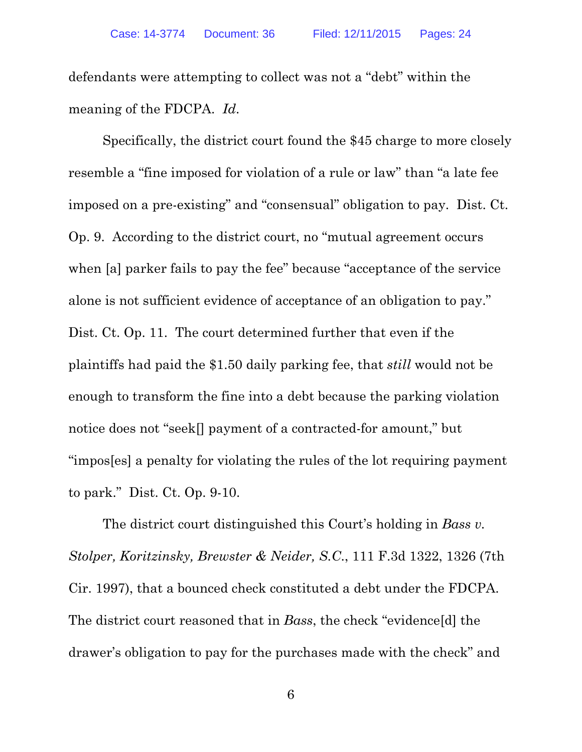defendants were attempting to collect was not a "debt" within the meaning of the FDCPA. *Id*.

Specifically, the district court found the \$45 charge to more closely resemble a "fine imposed for violation of a rule or law" than "a late fee imposed on a pre-existing" and "consensual" obligation to pay. Dist. Ct. Op. 9. According to the district court, no "mutual agreement occurs when [a] parker fails to pay the fee" because "acceptance of the service alone is not sufficient evidence of acceptance of an obligation to pay." Dist. Ct. Op. 11. The court determined further that even if the plaintiffs had paid the \$1.50 daily parking fee, that *still* would not be enough to transform the fine into a debt because the parking violation notice does not "seek[] payment of a contracted-for amount," but "impos[es] a penalty for violating the rules of the lot requiring payment to park." Dist. Ct. Op. 9-10.

The district court distinguished this Court's holding in *Bass v. Stolper, Koritzinsky, Brewster & Neider, S.C*., 111 F.3d 1322, 1326 (7th Cir. 1997), that a bounced check constituted a debt under the FDCPA. The district court reasoned that in *Bass*, the check "evidence[d] the drawer's obligation to pay for the purchases made with the check" and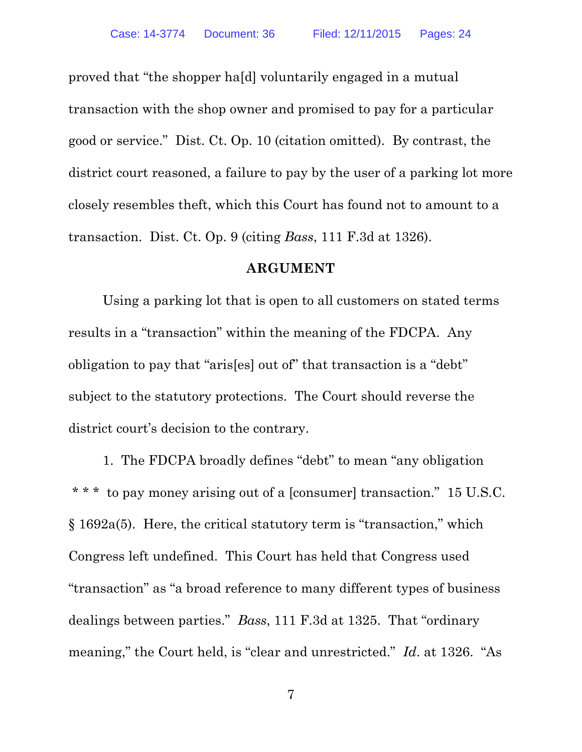proved that "the shopper ha[d] voluntarily engaged in a mutual transaction with the shop owner and promised to pay for a particular good or service." Dist. Ct. Op. 10 (citation omitted). By contrast, the district court reasoned, a failure to pay by the user of a parking lot more closely resembles theft, which this Court has found not to amount to a transaction. Dist. Ct. Op. 9 (citing *Bass*, 111 F.3d at 1326).

#### **ARGUMENT**

Using a parking lot that is open to all customers on stated terms results in a "transaction" within the meaning of the FDCPA. Any obligation to pay that "aris[es] out of" that transaction is a "debt" subject to the statutory protections. The Court should reverse the district court's decision to the contrary.

1. The FDCPA broadly defines "debt" to mean "any obligation \* \* \* to pay money arising out of a [consumer] transaction." 15 U.S.C. § 1692a(5). Here, the critical statutory term is "transaction," which Congress left undefined. This Court has held that Congress used "transaction" as "a broad reference to many different types of business dealings between parties." *Bass*, 111 F.3d at 1325. That "ordinary meaning," the Court held, is "clear and unrestricted." *Id*. at 1326. "As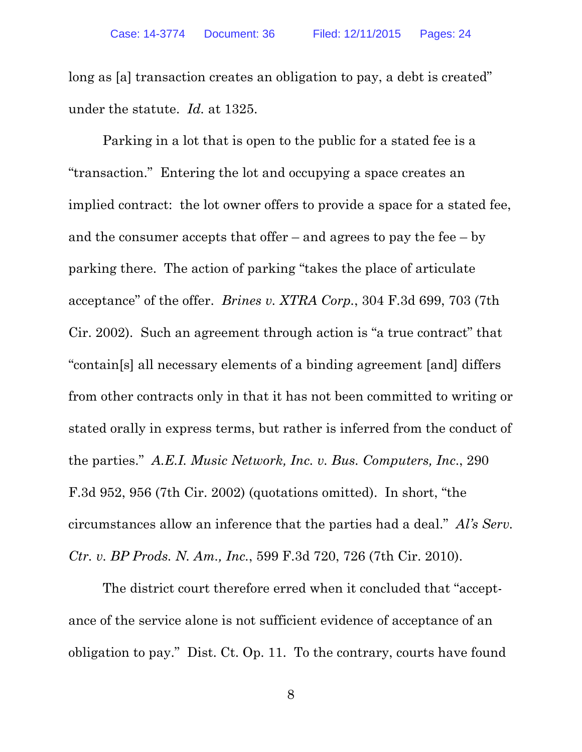long as [a] transaction creates an obligation to pay, a debt is created" under the statute. *Id.* at 1325.

Parking in a lot that is open to the public for a stated fee is a "transaction." Entering the lot and occupying a space creates an implied contract: the lot owner offers to provide a space for a stated fee, and the consumer accepts that offer – and agrees to pay the fee – by parking there. The action of parking "takes the place of articulate acceptance" of the offer. *Brines v. XTRA Corp.*, 304 F.3d 699, 703 (7th Cir. 2002). Such an agreement through action is "a true contract" that "contain[s] all necessary elements of a binding agreement [and] differs from other contracts only in that it has not been committed to writing or stated orally in express terms, but rather is inferred from the conduct of the parties." *A.E.I. Music Network, Inc. v. Bus. Computers, Inc*., 290 F.3d 952, 956 (7th Cir. 2002) (quotations omitted). In short, "the circumstances allow an inference that the parties had a deal." *Al's Serv. Ctr. v. BP Prods. N. Am., Inc.*, 599 F.3d 720, 726 (7th Cir. 2010).

The district court therefore erred when it concluded that "acceptance of the service alone is not sufficient evidence of acceptance of an obligation to pay." Dist. Ct. Op. 11. To the contrary, courts have found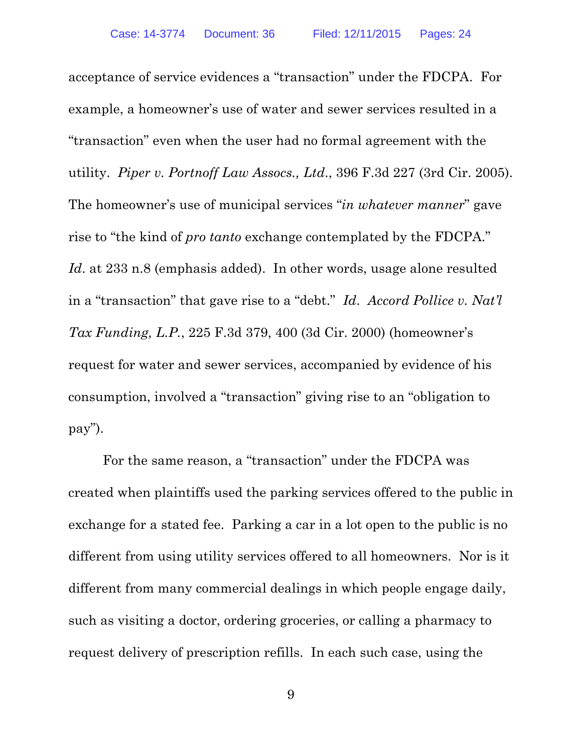acceptance of service evidences a "transaction" under the FDCPA. For example, a homeowner's use of water and sewer services resulted in a "transaction" even when the user had no formal agreement with the utility. *Piper v. Portnoff Law Assocs., Ltd*., 396 F.3d 227 (3rd Cir. 2005). The homeowner's use of municipal services "*in whatever manner*" gave rise to "the kind of *pro tanto* exchange contemplated by the FDCPA." Id. at 233 n.8 (emphasis added). In other words, usage alone resulted in a "transaction" that gave rise to a "debt." *Id*. *Accord Pollice v. Nat'l Tax Funding, L.P.*, 225 F.3d 379, 400 (3d Cir. 2000) (homeowner's request for water and sewer services, accompanied by evidence of his consumption, involved a "transaction" giving rise to an "obligation to pay").

For the same reason, a "transaction" under the FDCPA was created when plaintiffs used the parking services offered to the public in exchange for a stated fee. Parking a car in a lot open to the public is no different from using utility services offered to all homeowners. Nor is it different from many commercial dealings in which people engage daily, such as visiting a doctor, ordering groceries, or calling a pharmacy to request delivery of prescription refills. In each such case, using the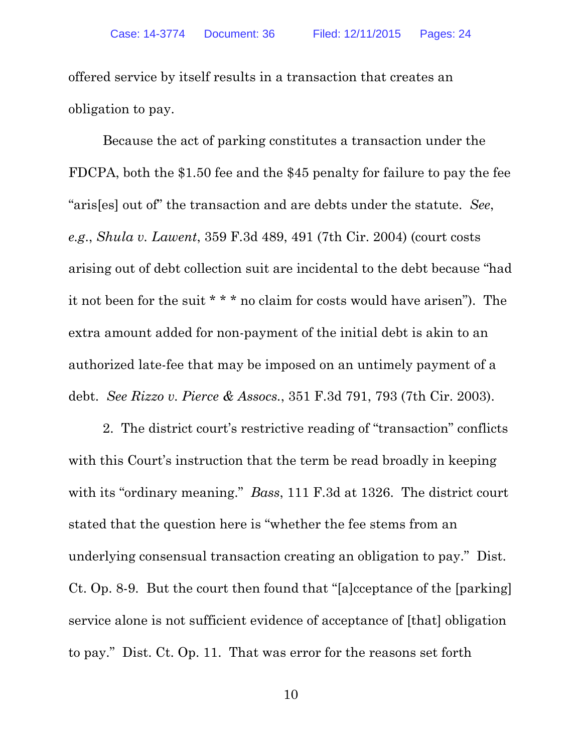offered service by itself results in a transaction that creates an obligation to pay.

Because the act of parking constitutes a transaction under the FDCPA, both the \$1.50 fee and the \$45 penalty for failure to pay the fee "aris[es] out of" the transaction and are debts under the statute. *See*, *e.g*., *Shula v. Lawent*, 359 F.3d 489, 491 (7th Cir. 2004) (court costs arising out of debt collection suit are incidental to the debt because "had it not been for the suit \* \* \* no claim for costs would have arisen"). The extra amount added for non-payment of the initial debt is akin to an authorized late-fee that may be imposed on an untimely payment of a debt. *See Rizzo v. Pierce & Assocs.*, 351 F.3d 791, 793 (7th Cir. 2003).

2. The district court's restrictive reading of "transaction" conflicts with this Court's instruction that the term be read broadly in keeping with its "ordinary meaning." *Bass*, 111 F.3d at 1326. The district court stated that the question here is "whether the fee stems from an underlying consensual transaction creating an obligation to pay." Dist. Ct. Op. 8-9. But the court then found that "[a]cceptance of the [parking] service alone is not sufficient evidence of acceptance of [that] obligation to pay." Dist. Ct. Op. 11. That was error for the reasons set forth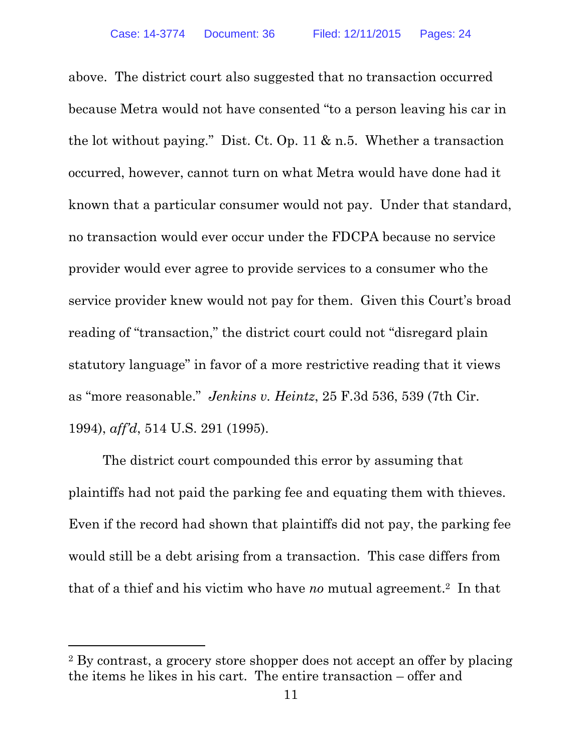above. The district court also suggested that no transaction occurred because Metra would not have consented "to a person leaving his car in the lot without paying." Dist. Ct. Op. 11 & n.5. Whether a transaction occurred, however, cannot turn on what Metra would have done had it known that a particular consumer would not pay. Under that standard, no transaction would ever occur under the FDCPA because no service provider would ever agree to provide services to a consumer who the service provider knew would not pay for them. Given this Court's broad reading of "transaction," the district court could not "disregard plain statutory language" in favor of a more restrictive reading that it views as "more reasonable." *Jenkins v. Heintz*, 25 F.3d 536, 539 (7th Cir. 1994), *aff'd*, 514 U.S. 291 (1995).

The district court compounded this error by assuming that plaintiffs had not paid the parking fee and equating them with thieves. Even if the record had shown that plaintiffs did not pay, the parking fee would still be a debt arising from a transaction. This case differs from that of a thief and his victim who have *no* mutual agreement.2 In that

l

<sup>2</sup> By contrast, a grocery store shopper does not accept an offer by placing the items he likes in his cart. The entire transaction – offer and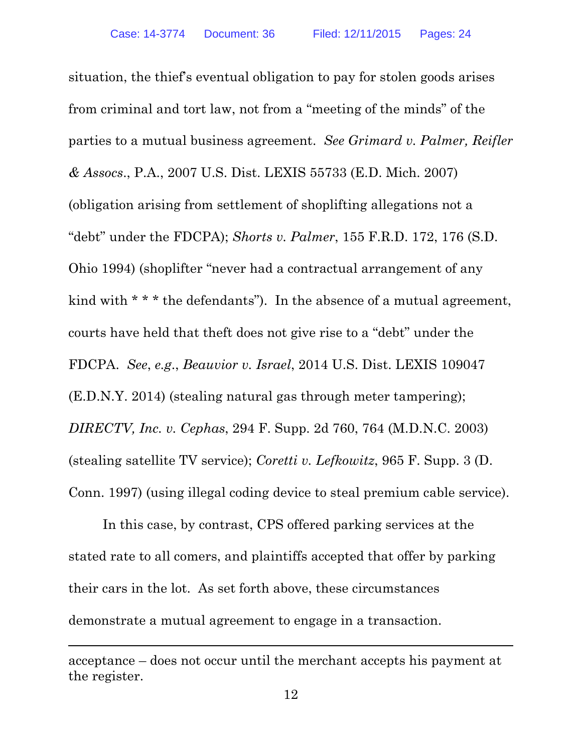situation, the thief's eventual obligation to pay for stolen goods arises from criminal and tort law, not from a "meeting of the minds" of the parties to a mutual business agreement. *See Grimard v. Palmer, Reifler & Assocs*., P.A., 2007 U.S. Dist. LEXIS 55733 (E.D. Mich. 2007) (obligation arising from settlement of shoplifting allegations not a "debt" under the FDCPA); *Shorts v. Palmer*, 155 F.R.D. 172, 176 (S.D. Ohio 1994) (shoplifter "never had a contractual arrangement of any kind with \* \* \* the defendants"). In the absence of a mutual agreement, courts have held that theft does not give rise to a "debt" under the FDCPA. *See*, *e.g*., *Beauvior v. Israel*, 2014 U.S. Dist. LEXIS 109047 (E.D.N.Y. 2014) (stealing natural gas through meter tampering); *DIRECTV, Inc. v. Cephas*, 294 F. Supp. 2d 760, 764 (M.D.N.C. 2003) (stealing satellite TV service); *Coretti v. Lefkowitz*, 965 F. Supp. 3 (D. Conn. 1997) (using illegal coding device to steal premium cable service).

In this case, by contrast, CPS offered parking services at the stated rate to all comers, and plaintiffs accepted that offer by parking their cars in the lot. As set forth above, these circumstances demonstrate a mutual agreement to engage in a transaction.

-

acceptance – does not occur until the merchant accepts his payment at the register.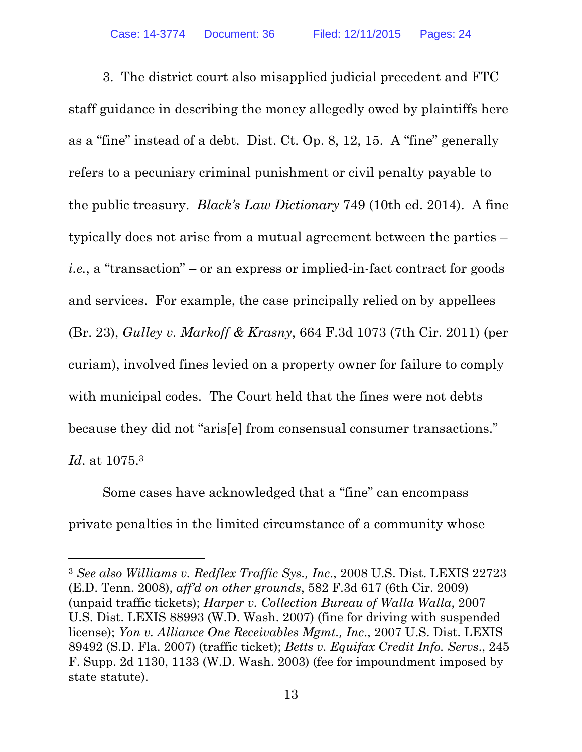3. The district court also misapplied judicial precedent and FTC staff guidance in describing the money allegedly owed by plaintiffs here as a "fine" instead of a debt. Dist. Ct. Op. 8, 12, 15. A "fine" generally refers to a pecuniary criminal punishment or civil penalty payable to the public treasury. *Black's Law Dictionary* 749 (10th ed. 2014). A fine typically does not arise from a mutual agreement between the parties – *i.e.*, a "transaction" – or an express or implied-in-fact contract for goods and services. For example, the case principally relied on by appellees (Br. 23), *Gulley v. Markoff & Krasny*, 664 F.3d 1073 (7th Cir. 2011) (per curiam), involved fines levied on a property owner for failure to comply with municipal codes. The Court held that the fines were not debts because they did not "aris[e] from consensual consumer transactions." *Id*. at 1075.3

Some cases have acknowledged that a "fine" can encompass private penalties in the limited circumstance of a community whose

<sup>3</sup> *See also Williams v. Redflex Traffic Sys., Inc*., 2008 U.S. Dist. LEXIS 22723 (E.D. Tenn. 2008), *aff'd on other grounds*, 582 F.3d 617 (6th Cir. 2009) (unpaid traffic tickets); *Harper v. Collection Bureau of Walla Walla*, 2007 U.S. Dist. LEXIS 88993 (W.D. Wash. 2007) (fine for driving with suspended license); *Yon v. Alliance One Receivables Mgmt., Inc*., 2007 U.S. Dist. LEXIS 89492 (S.D. Fla. 2007) (traffic ticket); *Betts v. Equifax Credit Info. Servs*., 245 F. Supp. 2d 1130, 1133 (W.D. Wash. 2003) (fee for impoundment imposed by state statute).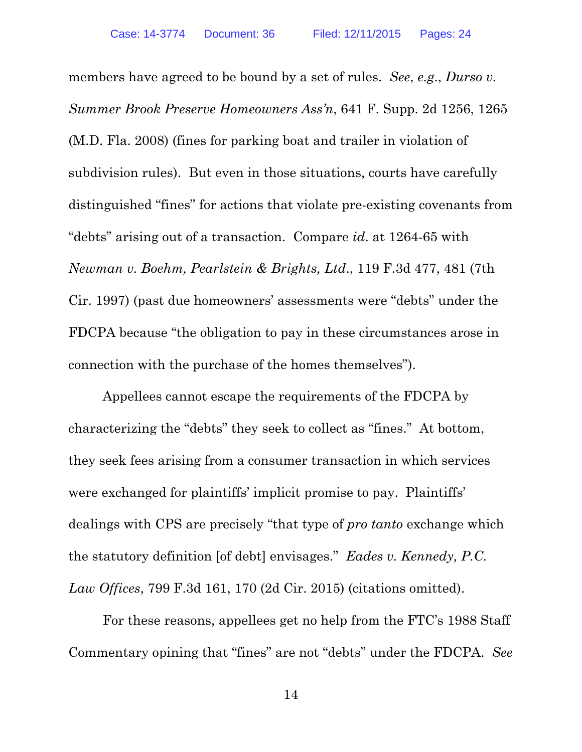members have agreed to be bound by a set of rules. *See*, *e.g*., *Durso v. Summer Brook Preserve Homeowners Ass'n*, 641 F. Supp. 2d 1256, 1265 (M.D. Fla. 2008) (fines for parking boat and trailer in violation of subdivision rules). But even in those situations, courts have carefully distinguished "fines" for actions that violate pre-existing covenants from "debts" arising out of a transaction. Compare *id*. at 1264-65 with *Newman v. Boehm, Pearlstein & Brights, Ltd*., 119 F.3d 477, 481 (7th Cir. 1997) (past due homeowners' assessments were "debts" under the FDCPA because "the obligation to pay in these circumstances arose in connection with the purchase of the homes themselves").

Appellees cannot escape the requirements of the FDCPA by characterizing the "debts" they seek to collect as "fines." At bottom, they seek fees arising from a consumer transaction in which services were exchanged for plaintiffs' implicit promise to pay. Plaintiffs' dealings with CPS are precisely "that type of *pro tanto* exchange which the statutory definition [of debt] envisages." *Eades v. Kennedy, P.C. Law Offices*, 799 F.3d 161, 170 (2d Cir. 2015) (citations omitted).

For these reasons, appellees get no help from the FTC's 1988 Staff Commentary opining that "fines" are not "debts" under the FDCPA. *See*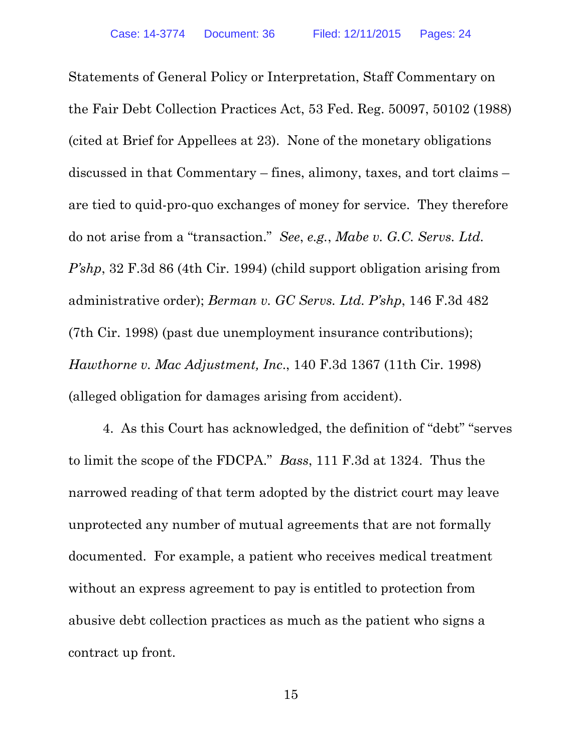Statements of General Policy or Interpretation, Staff Commentary on the Fair Debt Collection Practices Act, 53 Fed. Reg. 50097, 50102 (1988) (cited at Brief for Appellees at 23). None of the monetary obligations discussed in that Commentary – fines, alimony, taxes, and tort claims – are tied to quid-pro-quo exchanges of money for service. They therefore do not arise from a "transaction." *See*, *e.g.*, *Mabe v. G.C. Servs. Ltd. P'shp*, 32 F.3d 86 (4th Cir. 1994) (child support obligation arising from administrative order); *Berman v. GC Servs. Ltd. P'shp*, 146 F.3d 482 (7th Cir. 1998) (past due unemployment insurance contributions); *Hawthorne v. Mac Adjustment, Inc*., 140 F.3d 1367 (11th Cir. 1998) (alleged obligation for damages arising from accident).

4. As this Court has acknowledged, the definition of "debt" "serves to limit the scope of the FDCPA." *Bass*, 111 F.3d at 1324. Thus the narrowed reading of that term adopted by the district court may leave unprotected any number of mutual agreements that are not formally documented. For example, a patient who receives medical treatment without an express agreement to pay is entitled to protection from abusive debt collection practices as much as the patient who signs a contract up front.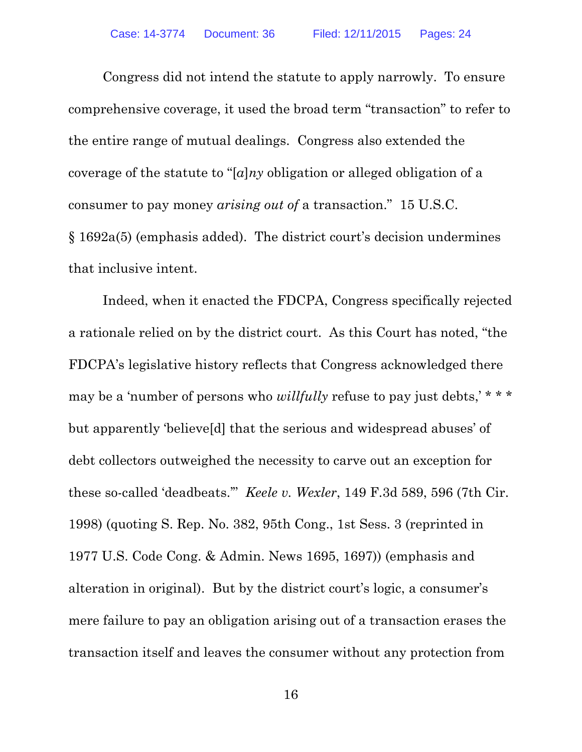Congress did not intend the statute to apply narrowly. To ensure comprehensive coverage, it used the broad term "transaction" to refer to the entire range of mutual dealings. Congress also extended the coverage of the statute to "[*a*]*ny* obligation or alleged obligation of a consumer to pay money *arising out of* a transaction." 15 U.S.C. § 1692a(5) (emphasis added). The district court's decision undermines that inclusive intent.

Indeed, when it enacted the FDCPA, Congress specifically rejected a rationale relied on by the district court. As this Court has noted, "the FDCPA's legislative history reflects that Congress acknowledged there may be a 'number of persons who *willfully* refuse to pay just debts,' \* \* \* but apparently 'believe[d] that the serious and widespread abuses' of debt collectors outweighed the necessity to carve out an exception for these so-called 'deadbeats.'" *Keele v. Wexler*, 149 F.3d 589, 596 (7th Cir. 1998) (quoting S. Rep. No. 382, 95th Cong., 1st Sess. 3 (reprinted in 1977 U.S. Code Cong. & Admin. News 1695, 1697)) (emphasis and alteration in original). But by the district court's logic, a consumer's mere failure to pay an obligation arising out of a transaction erases the transaction itself and leaves the consumer without any protection from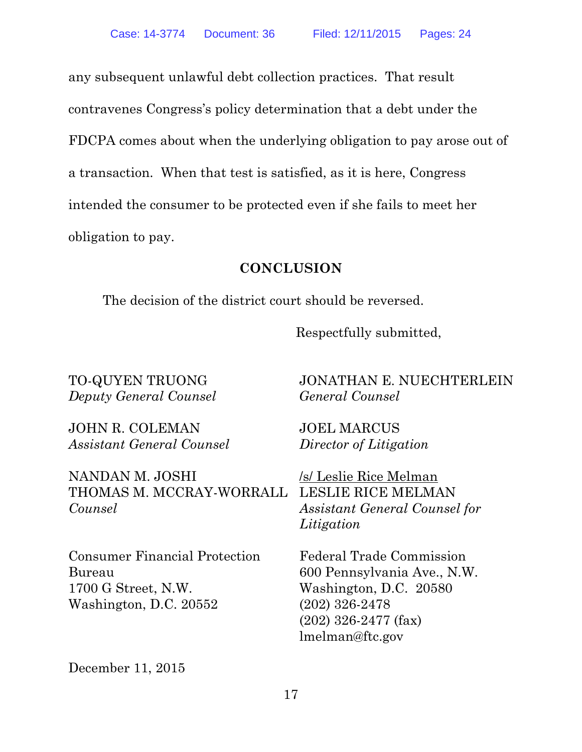any subsequent unlawful debt collection practices. That result contravenes Congress's policy determination that a debt under the FDCPA comes about when the underlying obligation to pay arose out of a transaction. When that test is satisfied, as it is here, Congress intended the consumer to be protected even if she fails to meet her obligation to pay.

### **CONCLUSION**

The decision of the district court should be reversed.

Respectfully submitted,

TO-QUYEN TRUONG *Deputy General Counsel* 

JOHN R. COLEMAN *Assistant General Counsel* 

NANDAN M. JOSHI THOMAS M. MCCRAY-WORRALL LESLIE RICE MELMAN *Counsel* 

Consumer Financial Protection Bureau 1700 G Street, N.W. Washington, D.C. 20552

JONATHAN E. NUECHTERLEIN *General Counsel* 

JOEL MARCUS *Director of Litigation* 

/s/ Leslie Rice Melman *Assistant General Counsel for Litigation* 

Federal Trade Commission 600 Pennsylvania Ave., N.W. Washington, D.C. 20580 (202) 326-2478 (202) 326-2477 (fax) lmelman@ftc.gov

December 11, 2015